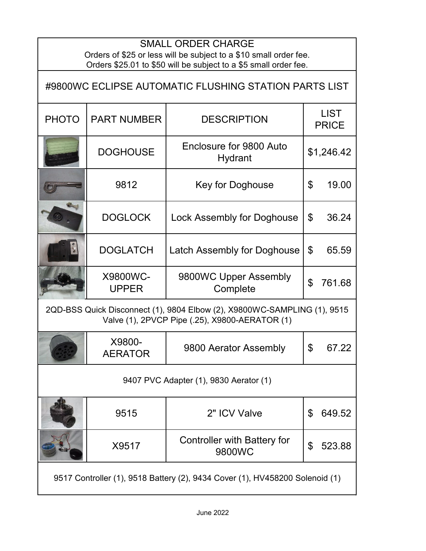## SMALL ORDER CHARGE

Orders of \$25 or less will be subject to a \$10 small order fee. Orders \$25.01 to \$50 will be subject to a \$5 small order fee.

| #9800WC ECLIPSE AUTOMATIC FLUSHING STATION PARTS LIST                                                                      |                          |                                              |                             |            |  |
|----------------------------------------------------------------------------------------------------------------------------|--------------------------|----------------------------------------------|-----------------------------|------------|--|
| <b>PHOTO</b>                                                                                                               | <b>PART NUMBER</b>       | <b>DESCRIPTION</b>                           | <b>LIST</b><br><b>PRICE</b> |            |  |
|                                                                                                                            | <b>DOGHOUSE</b>          | Enclosure for 9800 Auto<br>Hydrant           |                             | \$1,246.42 |  |
|                                                                                                                            | 9812                     | <b>Key for Doghouse</b>                      | \$                          | 19.00      |  |
|                                                                                                                            | <b>DOGLOCK</b>           | <b>Lock Assembly for Doghouse</b>            | $\mathfrak{L}$              | 36.24      |  |
|                                                                                                                            | <b>DOGLATCH</b>          | <b>Latch Assembly for Doghouse</b>           | \$                          | 65.59      |  |
|                                                                                                                            | X9800WC-<br><b>UPPER</b> | 9800WC Upper Assembly<br>Complete            | \$                          | 761.68     |  |
| 2QD-BSS Quick Disconnect (1), 9804 Elbow (2), X9800WC-SAMPLING (1), 9515<br>Valve (1), 2PVCP Pipe (.25), X9800-AERATOR (1) |                          |                                              |                             |            |  |
|                                                                                                                            | X9800-<br><b>AERATOR</b> | 9800 Aerator Assembly                        | $\mathfrak{L}$              | 67.22      |  |
| 9407 PVC Adapter (1), 9830 Aerator (1)                                                                                     |                          |                                              |                             |            |  |
|                                                                                                                            | 9515                     | 2" ICV Valve                                 | \$                          | 649.52     |  |
|                                                                                                                            | X9517                    | <b>Controller with Battery for</b><br>9800WC | \$                          | 523.88     |  |
| 9517 Controller (1), 9518 Battery (2), 9434 Cover (1), HV458200 Solenoid (1)                                               |                          |                                              |                             |            |  |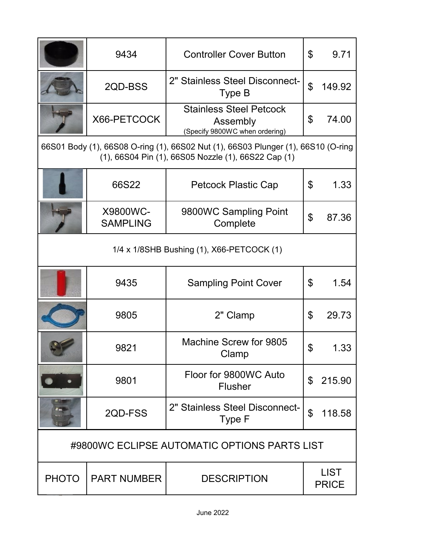|                                                                                                                                          | 9434                        | <b>Controller Cover Button</b>                                               | \$             | 9.71                        |
|------------------------------------------------------------------------------------------------------------------------------------------|-----------------------------|------------------------------------------------------------------------------|----------------|-----------------------------|
|                                                                                                                                          | 2QD-BSS                     | 2" Stainless Steel Disconnect-<br>Type B                                     | $\mathfrak{P}$ | 149.92                      |
|                                                                                                                                          | X66-PETCOCK                 | <b>Stainless Steel Petcock</b><br>Assembly<br>(Specify 9800WC when ordering) | \$             | 74.00                       |
| 66S01 Body (1), 66S08 O-ring (1), 66S02 Nut (1), 66S03 Plunger (1), 66S10 (O-ring<br>(1), 66S04 Pin (1), 66S05 Nozzle (1), 66S22 Cap (1) |                             |                                                                              |                |                             |
|                                                                                                                                          | 66S22                       | Petcock Plastic Cap                                                          | \$             | 1.33                        |
|                                                                                                                                          | X9800WC-<br><b>SAMPLING</b> | 9800WC Sampling Point<br>Complete                                            | \$             | 87.36                       |
| 1/4 x 1/8SHB Bushing (1), X66-PETCOCK (1)                                                                                                |                             |                                                                              |                |                             |
|                                                                                                                                          | 9435                        | <b>Sampling Point Cover</b>                                                  | \$             | 1.54                        |
|                                                                                                                                          | 9805                        | 2" Clamp                                                                     | \$             | 29.73                       |
|                                                                                                                                          | 9821                        | Machine Screw for 9805<br>Clamp                                              | \$             |                             |
|                                                                                                                                          | 9801                        | Floor for 9800WC Auto<br><b>Flusher</b>                                      | \$             | 215.90                      |
|                                                                                                                                          | 2QD-FSS                     | 2" Stainless Steel Disconnect-<br>Type F                                     | $\mathfrak{P}$ | 118.58                      |
| #9800WC ECLIPSE AUTOMATIC OPTIONS PARTS LIST                                                                                             |                             |                                                                              |                |                             |
| <b>PHOTO</b>                                                                                                                             | <b>PART NUMBER</b>          | <b>DESCRIPTION</b>                                                           |                | <b>LIST</b><br><b>PRICE</b> |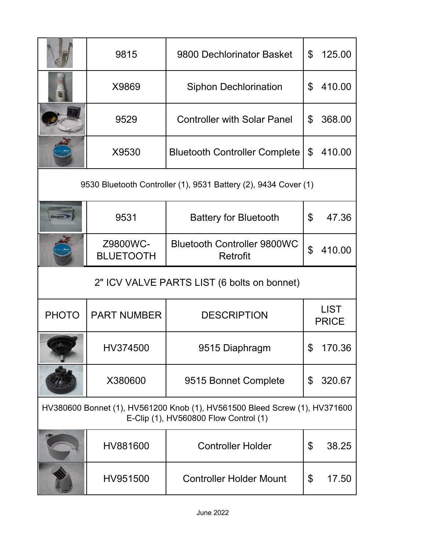|                                                                 | 9815                         | 9800 Dechlorinator Basket                                                                                           | \$             | 125.00      |
|-----------------------------------------------------------------|------------------------------|---------------------------------------------------------------------------------------------------------------------|----------------|-------------|
|                                                                 | X9869                        | <b>Siphon Dechlorination</b>                                                                                        | $\mathfrak{L}$ | 410.00      |
|                                                                 | 9529                         | <b>Controller with Solar Panel</b>                                                                                  | \$             | 368.00      |
|                                                                 | X9530                        | <b>Bluetooth Controller Complete</b>                                                                                | \$             | 410.00      |
| 9530 Bluetooth Controller (1), 9531 Battery (2), 9434 Cover (1) |                              |                                                                                                                     |                |             |
|                                                                 | 9531                         | <b>Battery for Bluetooth</b>                                                                                        | \$             | 47.36       |
|                                                                 | Z9800WC-<br><b>BLUETOOTH</b> | <b>Bluetooth Controller 9800WC</b><br>Retrofit                                                                      | $\mathfrak{P}$ | 410.00      |
|                                                                 |                              |                                                                                                                     |                |             |
|                                                                 |                              | 2" ICV VALVE PARTS LIST (6 bolts on bonnet)                                                                         |                |             |
| <b>PHOTO</b>                                                    | <b>PART NUMBER</b>           | <b>DESCRIPTION</b>                                                                                                  | <b>PRICE</b>   | <b>LIST</b> |
|                                                                 | HV374500                     | 9515 Diaphragm                                                                                                      | \$             | 170.36      |
|                                                                 | X380600                      | 9515 Bonnet Complete                                                                                                | \$             | 320.67      |
|                                                                 |                              | HV380600 Bonnet (1), HV561200 Knob (1), HV561500 Bleed Screw (1), HV371600<br>E-Clip (1), HV560800 Flow Control (1) |                |             |
|                                                                 | HV881600                     | <b>Controller Holder</b>                                                                                            | \$             | 38.25       |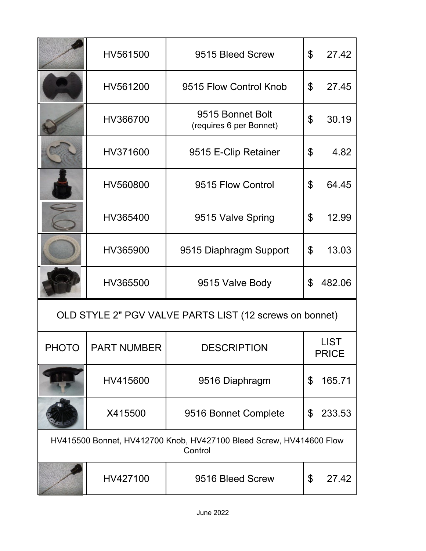|                                                                                | HV561500           | 9515 Bleed Screw                            | $\mathfrak{L}$              | 27.42  |  |
|--------------------------------------------------------------------------------|--------------------|---------------------------------------------|-----------------------------|--------|--|
|                                                                                | HV561200           | 9515 Flow Control Knob                      | \$                          | 27.45  |  |
|                                                                                | HV366700           | 9515 Bonnet Bolt<br>(requires 6 per Bonnet) | \$                          | 30.19  |  |
|                                                                                | HV371600           | 9515 E-Clip Retainer                        | $\boldsymbol{\mathsf{S}}$   | 4.82   |  |
|                                                                                | HV560800           | 9515 Flow Control                           | \$                          | 64.45  |  |
|                                                                                | HV365400           | 9515 Valve Spring                           | \$                          | 12.99  |  |
|                                                                                | HV365900           | 9515 Diaphragm Support                      | \$                          | 13.03  |  |
|                                                                                | HV365500           | 9515 Valve Body                             | $\mathfrak{L}$              | 482.06 |  |
| OLD STYLE 2" PGV VALVE PARTS LIST (12 screws on bonnet)                        |                    |                                             |                             |        |  |
| PHOTO                                                                          | <b>PART NUMBER</b> | <b>DESCRIPTION</b>                          | <b>LIST</b><br><b>PRICE</b> |        |  |
|                                                                                | HV415600           | 9516 Diaphragm                              | \$                          | 165.71 |  |
|                                                                                | X415500            | 9516 Bonnet Complete                        | \$                          | 233.53 |  |
| HV415500 Bonnet, HV412700 Knob, HV427100 Bleed Screw, HV414600 Flow<br>Control |                    |                                             |                             |        |  |
|                                                                                | HV427100           | 9516 Bleed Screw                            | \$                          | 27.42  |  |